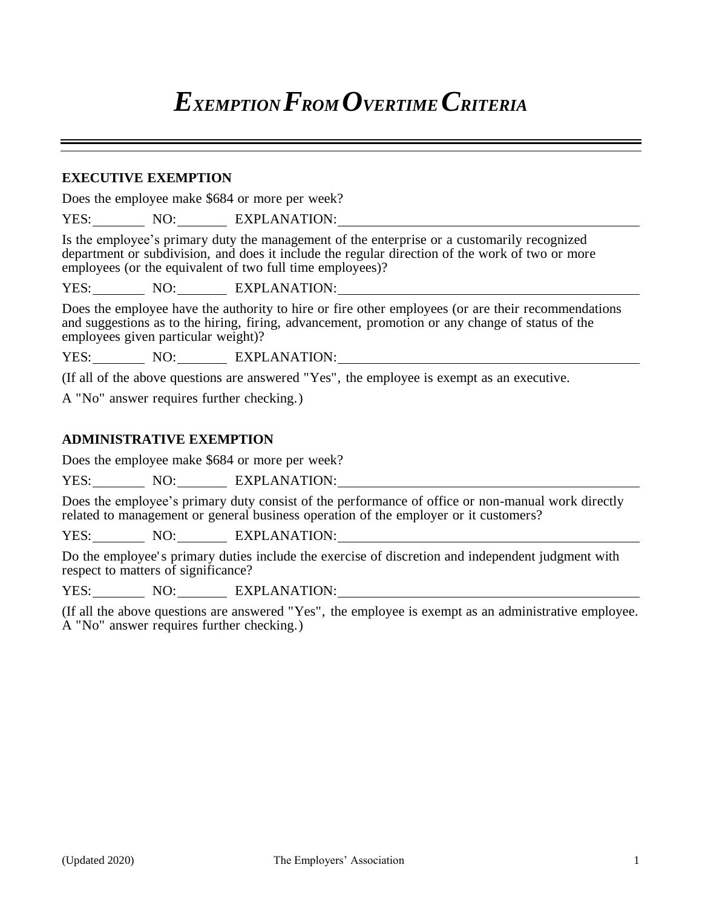# *EXEMPTION FROM OVERTIME CRITERIA*

#### **EXECUTIVE EXEMPTION**

Does the employee make \$684 or more per week?

YES: NO: EXPLANATION:

Is the employee's primary duty the management of the enterprise or a customarily recognized department or subdivision, and does it include the regular direction of the work of two or more employees (or the equivalent of two full time employees)?

YES: NO: EXPLANATION:

Does the employee have the authority to hire or fire other employees (or are their recommendations and suggestions as to the hiring, firing, advancement, promotion or any change of status of the employees given particular weight)?

YES: NO: EXPLANATION:

(If all of the above questions are answered "Yes", the employee is exempt as an executive.

A "No" answer requires further checking.)

#### **ADMINISTRATIVE EXEMPTION**

Does the employee make \$684 or more per week?

YES: NO: EXPLANATION:

Does the employee's primary duty consist of the performance of office or non-manual work directly related to management or general business operation of the employer or it customers?

YES: NO: EXPLANATION:

Do the employee' s primary duties include the exercise of discretion and independent judgment with respect to matters of significance?

YES: NO: EXPLANATION:

(If all the above questions are answered "Yes", the employee is exempt as an administrative employee. A "No" answer requires further checking.)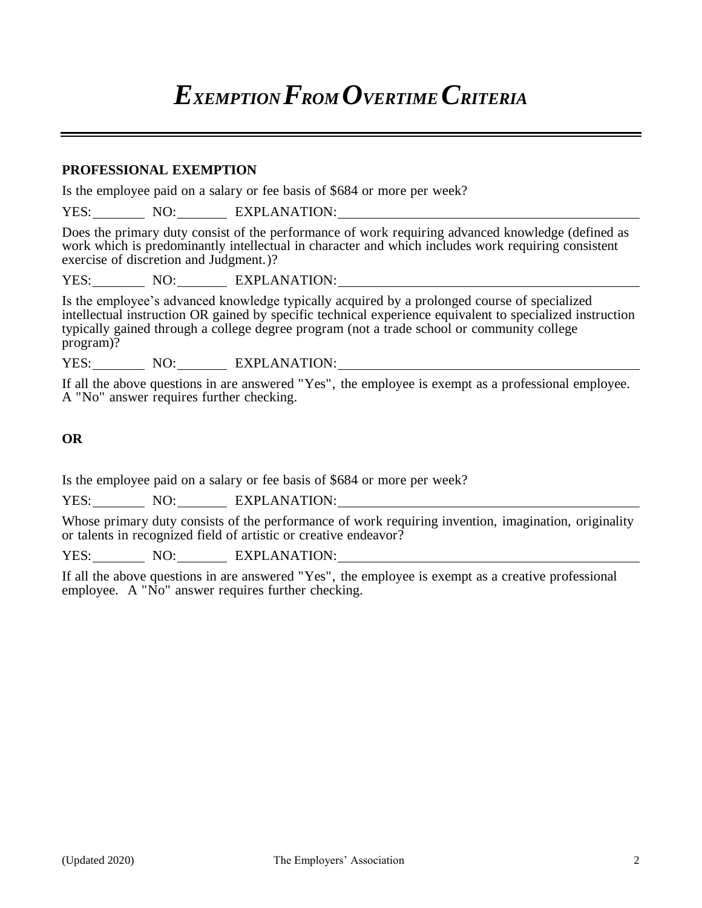## *EXEMPTION FROM OVERTIME CRITERIA*

#### **PROFESSIONAL EXEMPTION**

Is the employee paid on a salary or fee basis of \$684 or more per week?

YES: NO: EXPLANATION:

Does the primary duty consist of the performance of work requiring advanced knowledge (defined as work which is predominantly intellectual in character and which includes work requiring consistent exercise of discretion and Judgment.)?

YES: NO: EXPLANATION:

Is the employee's advanced knowledge typically acquired by a prolonged course of specialized intellectual instruction OR gained by specific technical experience equivalent to specialized instruction typically gained through a college degree program (not a trade school or community college program)?

YES: NO: EXPLANATION:

If all the above questions in are answered "Yes", the employee is exempt as a professional employee. A "No" answer requires further checking.

### **OR**

Is the employee paid on a salary or fee basis of \$684 or more per week?

YES: NO: EXPLANATION:

Whose primary duty consists of the performance of work requiring invention, imagination, originality or talents in recognized field of artistic or creative endeavor?

YES: NO: EXPLANATION:

If all the above questions in are answered "Yes", the employee is exempt as a creative professional employee. A "No" answer requires further checking.